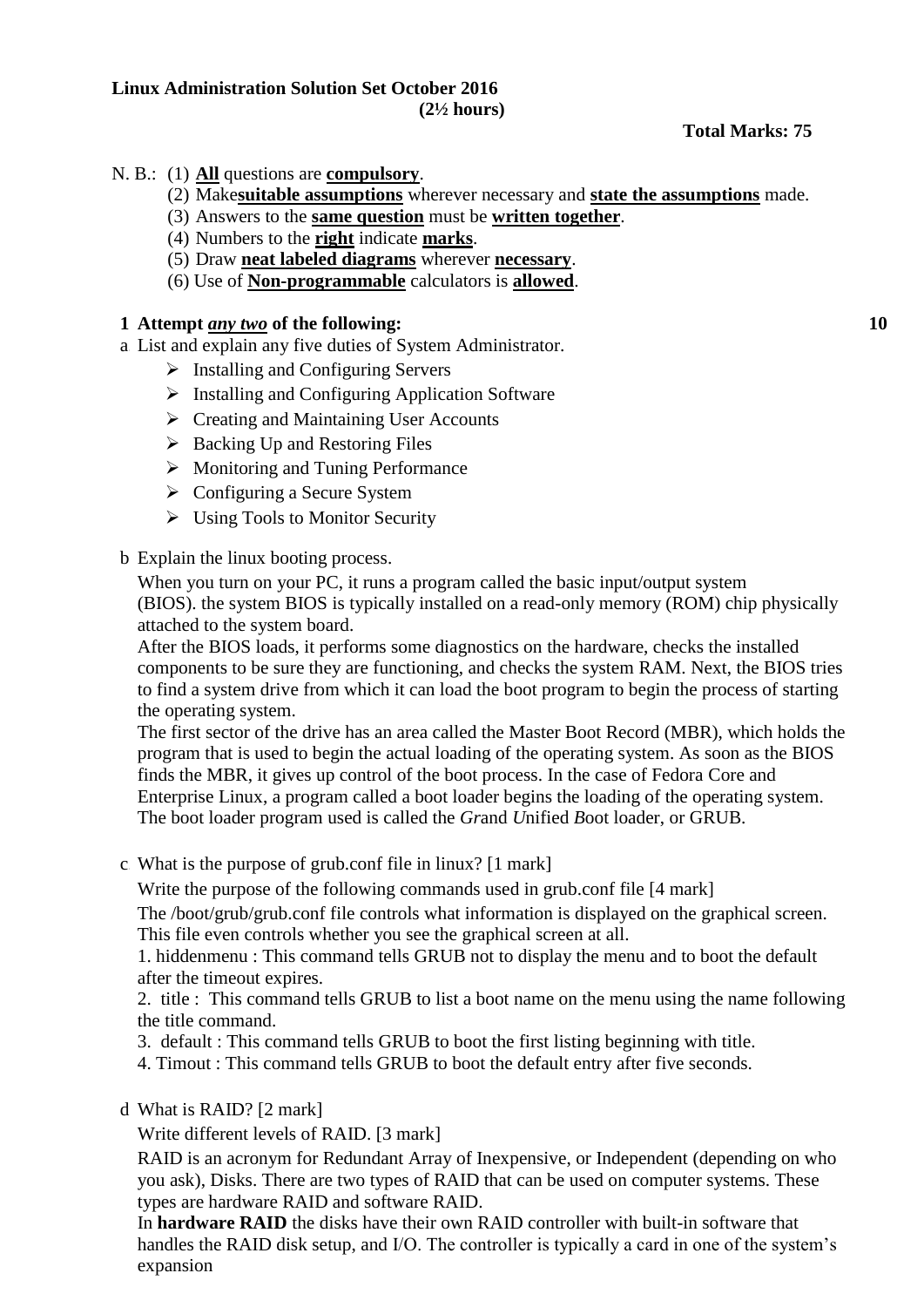# **Linux Administration Solution Set October 2016**

#### **(2½ hours)**

#### **Total Marks: 75**

- N. B.: (1) **All** questions are **compulsory**.
	- (2) Make**suitable assumptions** wherever necessary and **state the assumptions** made.
	- (3) Answers to the **same question** must be **written together**.
	- (4) Numbers to the **right** indicate **marks**.
	- (5) Draw **neat labeled diagrams** wherever **necessary**.
	- (6) Use of **Non-programmable** calculators is **allowed**.

#### **1. Attempt** *any two* **of the following: 10**

- a. List and explain any five duties of System Administrator.
	- $\triangleright$  Installing and Configuring Servers
	- $\triangleright$  Installing and Configuring Application Software
	- Creating and Maintaining User Accounts
	- $\triangleright$  Backing Up and Restoring Files
	- $\triangleright$  Monitoring and Tuning Performance
	- Configuring a Secure System
	- $\triangleright$  Using Tools to Monitor Security
- b. Explain the linux booting process.

When you turn on your PC, it runs a program called the basic input/output system (BIOS). the system BIOS is typically installed on a read-only memory (ROM) chip physically attached to the system board.

After the BIOS loads, it performs some diagnostics on the hardware, checks the installed components to be sure they are functioning, and checks the system RAM. Next, the BIOS tries to find a system drive from which it can load the boot program to begin the process of starting the operating system.

The first sector of the drive has an area called the Master Boot Record (MBR), which holds the program that is used to begin the actual loading of the operating system. As soon as the BIOS finds the MBR, it gives up control of the boot process. In the case of Fedora Core and Enterprise Linux, a program called a boot loader begins the loading of the operating system. The boot loader program used is called the *Gr*and *U*nified *B*oot loader, or GRUB.

c. What is the purpose of grub.conf file in linux? [1 mark]

Write the purpose of the following commands used in grub.conf file [4 mark]

The /boot/grub/grub.conf file controls what information is displayed on the graphical screen. This file even controls whether you see the graphical screen at all.

1. hiddenmenu : This command tells GRUB not to display the menu and to boot the default after the timeout expires.

2. title : This command tells GRUB to list a boot name on the menu using the name following the title command.

3. default : This command tells GRUB to boot the first listing beginning with title.

4. Timout : This command tells GRUB to boot the default entry after five seconds.

d. What is RAID? [2 mark]

Write different levels of RAID. [3 mark]

RAID is an acronym for Redundant Array of Inexpensive, or Independent (depending on who you ask), Disks. There are two types of RAID that can be used on computer systems. These types are hardware RAID and software RAID.

In **hardware RAID** the disks have their own RAID controller with built-in software that handles the RAID disk setup, and I/O. The controller is typically a card in one of the system's expansion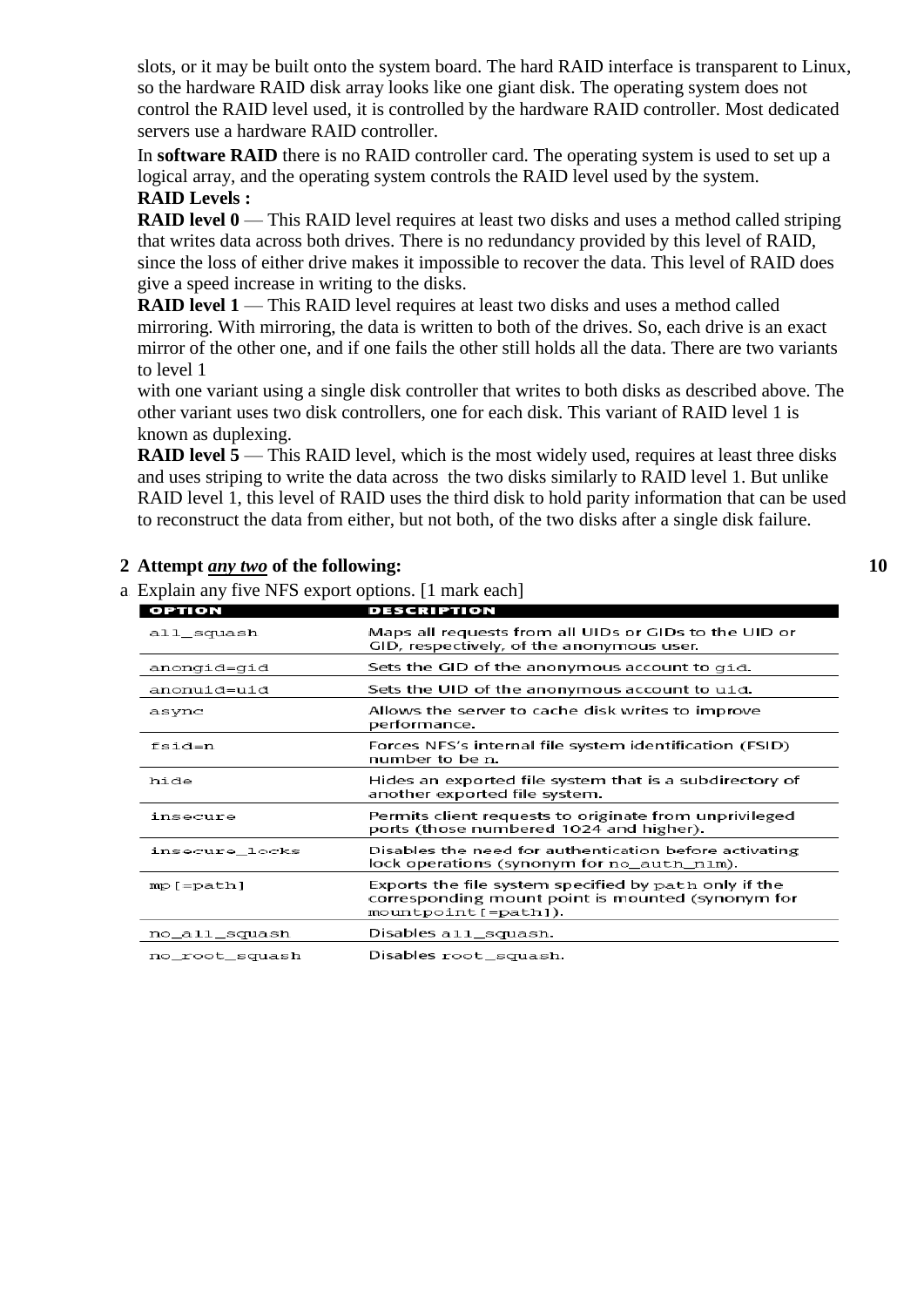slots, or it may be built onto the system board. The hard RAID interface is transparent to Linux, so the hardware RAID disk array looks like one giant disk. The operating system does not control the RAID level used, it is controlled by the hardware RAID controller. Most dedicated servers use a hardware RAID controller.

In **software RAID** there is no RAID controller card. The operating system is used to set up a logical array, and the operating system controls the RAID level used by the system. **RAID Levels :** 

**RAID level 0** — This RAID level requires at least two disks and uses a method called striping that writes data across both drives. There is no redundancy provided by this level of RAID, since the loss of either drive makes it impossible to recover the data. This level of RAID does give a speed increase in writing to the disks.

**RAID level 1** — This RAID level requires at least two disks and uses a method called mirroring. With mirroring, the data is written to both of the drives. So, each drive is an exact mirror of the other one, and if one fails the other still holds all the data. There are two variants to level 1

with one variant using a single disk controller that writes to both disks as described above. The other variant uses two disk controllers, one for each disk. This variant of RAID level 1 is known as duplexing.

**RAID level 5** — This RAID level, which is the most widely used, requires at least three disks and uses striping to write the data across the two disks similarly to RAID level 1. But unlike RAID level 1, this level of RAID uses the third disk to hold parity information that can be used to reconstruct the data from either, but not both, of the two disks after a single disk failure.

| <b>OPTION</b>    | <b>DESCRIPTION</b>                                                                                                                |  |
|------------------|-----------------------------------------------------------------------------------------------------------------------------------|--|
| all squash       | Maps all requests from all UIDs or GIDs to the UID or<br>GID, respectively, of the anonymous user.                                |  |
| anongid=gid      | Sets the GID of the anonymous account to gid.                                                                                     |  |
| anonuid=uid      | Sets the UID of the anonymous account to uid.                                                                                     |  |
| async            | Allows the server to cache disk writes to improve<br>performance.                                                                 |  |
| fsid=n           | Forces NFS's internal file system identification (FSID)<br>number to be n.                                                        |  |
| hide             | Hides an exported file system that is a subdirectory of<br>another exported file system.                                          |  |
| insecure         | Permits client requests to originate from unprivileged<br>ports (those numbered 1024 and higher).                                 |  |
| insecure_locks   | Disables the need for authentication before activating<br>lock operations (synonym for no_auth_n1m).                              |  |
| $mp$ [= $path$ ] | Exports the file system specified by path only if the<br>corresponding mount point is mounted (synonym for<br>mountpoint[=path]). |  |
| no_all_squash    | Disables a11_squash.                                                                                                              |  |
| no root squash   | Disables root_squash.                                                                                                             |  |

#### **2. Attempt** *any two* **of the following: 10**

#### a. Explain any five NFS export options. [1 mark each]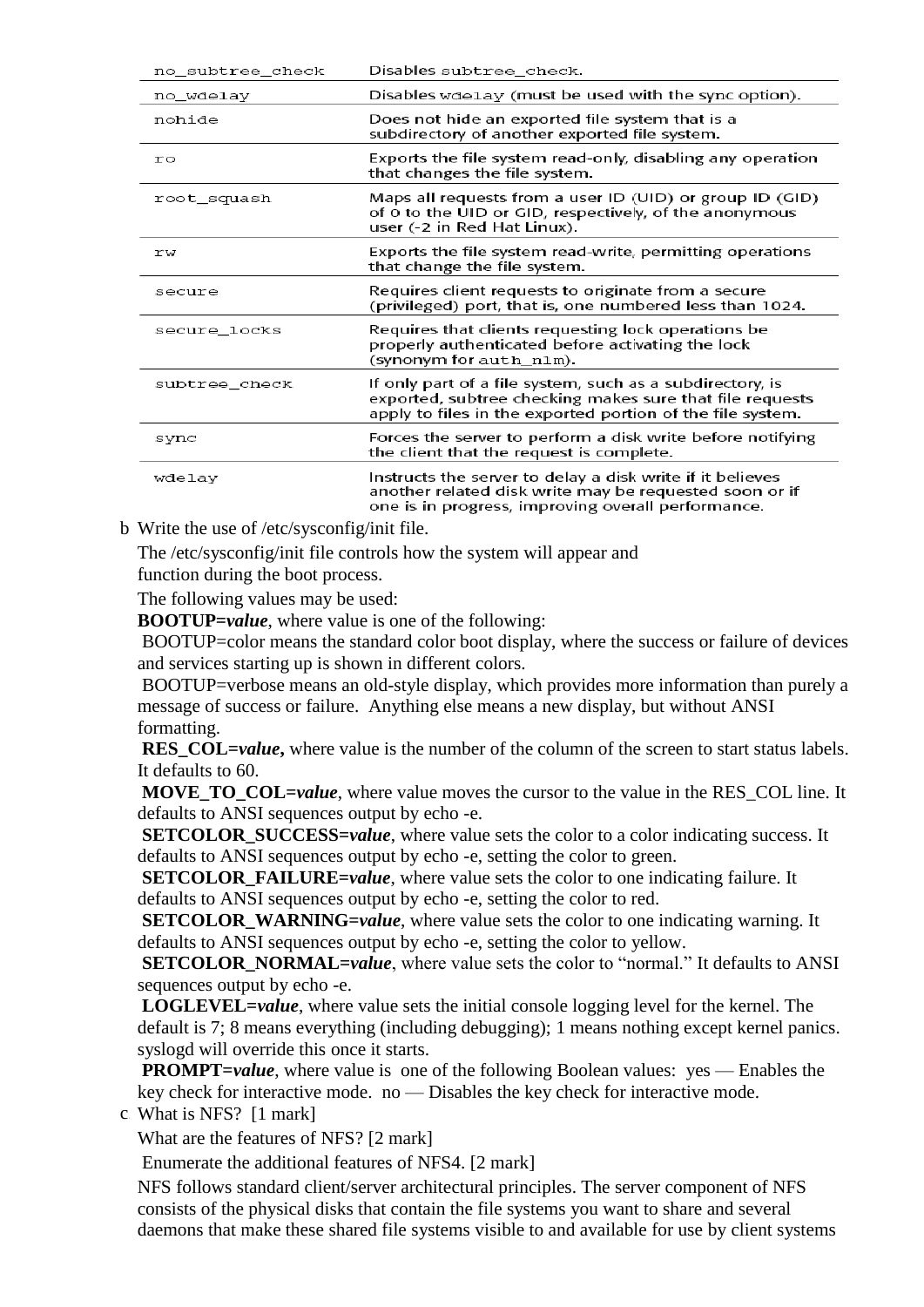| no subtree check | Disables subtree_check.                                                                                                                                                             |
|------------------|-------------------------------------------------------------------------------------------------------------------------------------------------------------------------------------|
| no_wdelay        | Disables wdelay (must be used with the sync option).                                                                                                                                |
| nohide           | Does not hide an exported file system that is a<br>subdirectory of another exported file system.                                                                                    |
| ro               | Exports the file system read-only, disabling any operation<br>that changes the file system.                                                                                         |
| root_squash      | Maps all requests from a user ID (UID) or group ID (GID)<br>of 0 to the UID or GID, respectively, of the anonymous<br>user (-2 in Red Hat Linux).                                   |
| rw               | Exports the file system read-write, permitting operations<br>that change the file system.                                                                                           |
| secure           | Requires client requests to originate from a secure<br>(privileged) port, that is, one numbered less than 1024.                                                                     |
| secure locks     | Requires that clients requesting lock operations be<br>properly authenticated before activating the lock<br>(synonym for auth_n1m).                                                 |
| subtree_check    | If only part of a file system, such as a subdirectory, is<br>exported, subtree checking makes sure that file requests<br>apply to files in the exported portion of the file system. |
| sync             | Forces the server to perform a disk write before notifying<br>the client that the request is complete.                                                                              |
| wdelay           | Instructs the server to delay a disk write if it believes<br>another related disk write may be requested soon or if<br>one is in progress, improving overall performance.           |

b. Write the use of /etc/sysconfig/init file.

The /etc/sysconfig/init file controls how the system will appear and function during the boot process.

The following values may be used:

**BOOTUP=***value*, where value is one of the following:

BOOTUP=color means the standard color boot display, where the success or failure of devices and services starting up is shown in different colors.

BOOTUP=verbose means an old-style display, which provides more information than purely a message of success or failure. Anything else means a new display, but without ANSI formatting.

**RES** COL=*value*, where value is the number of the column of the screen to start status labels. It defaults to 60.

**MOVE TO COL=value**, where value moves the cursor to the value in the RES\_COL line. It defaults to ANSI sequences output by echo -e.

**SETCOLOR\_SUCCESS=***value*, where value sets the color to a color indicating success. It defaults to ANSI sequences output by echo -e, setting the color to green.

**SETCOLOR FAILURE=***value*, where value sets the color to one indicating failure. It defaults to ANSI sequences output by echo -e, setting the color to red.

**SETCOLOR\_WARNING=***value*, where value sets the color to one indicating warning. It defaults to ANSI sequences output by echo -e, setting the color to yellow.

**SETCOLOR\_NORMAL=***value*, where value sets the color to "normal." It defaults to ANSI sequences output by echo -e.

**LOGLEVEL=***value*, where value sets the initial console logging level for the kernel. The default is 7; 8 means everything (including debugging); 1 means nothing except kernel panics. syslogd will override this once it starts.

**PROMPT=***value*, where value is one of the following Boolean values: yes — Enables the key check for interactive mode. no — Disables the key check for interactive mode.

c. What is NFS? [1 mark]

What are the features of NFS? [2 mark]

Enumerate the additional features of NFS4. [2 mark]

NFS follows standard client/server architectural principles. The server component of NFS consists of the physical disks that contain the file systems you want to share and several daemons that make these shared file systems visible to and available for use by client systems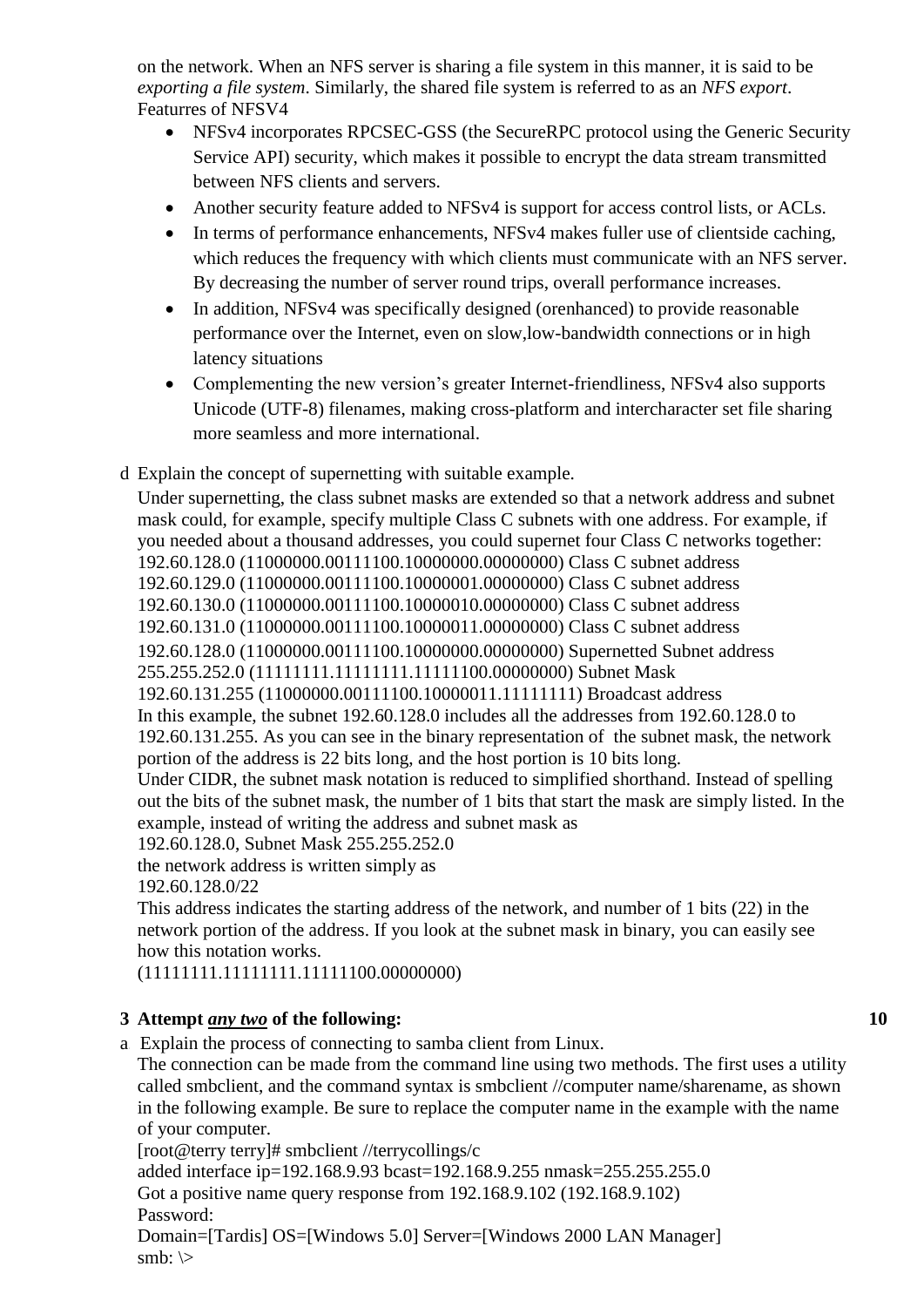on the network. When an NFS server is sharing a file system in this manner, it is said to be *exporting a file system*. Similarly, the shared file system is referred to as an *NFS export*. Featurres of NFSV4

- NFSv4 incorporates RPCSEC-GSS (the SecureRPC protocol using the Generic Security Service API) security, which makes it possible to encrypt the data stream transmitted between NFS clients and servers.
- Another security feature added to NFSv4 is support for access control lists, or ACLs.
- In terms of performance enhancements, NFSv4 makes fuller use of clientside caching, which reduces the frequency with which clients must communicate with an NFS server. By decreasing the number of server round trips, overall performance increases.
- In addition, NFSv4 was specifically designed (orenhanced) to provide reasonable performance over the Internet, even on slow,low-bandwidth connections or in high latency situations
- Complementing the new version's greater Internet-friendliness, NFSv4 also supports Unicode (UTF-8) filenames, making cross-platform and intercharacter set file sharing more seamless and more international.
- d. Explain the concept of supernetting with suitable example.

Under supernetting, the class subnet masks are extended so that a network address and subnet mask could, for example, specify multiple Class C subnets with one address. For example, if you needed about a thousand addresses, you could supernet four Class C networks together: 192.60.128.0 (11000000.00111100.10000000.00000000) Class C subnet address 192.60.129.0 (11000000.00111100.10000001.00000000) Class C subnet address 192.60.130.0 (11000000.00111100.10000010.00000000) Class C subnet address 192.60.131.0 (11000000.00111100.10000011.00000000) Class C subnet address 192.60.128.0 (11000000.00111100.10000000.00000000) Supernetted Subnet address 255.255.252.0 (11111111.11111111.11111100.00000000) Subnet Mask 192.60.131.255 (11000000.00111100.10000011.11111111) Broadcast address In this example, the subnet 192.60.128.0 includes all the addresses from 192.60.128.0 to 192.60.131.255. As you can see in the binary representation of the subnet mask, the network portion of the address is 22 bits long, and the host portion is 10 bits long. Under CIDR, the subnet mask notation is reduced to simplified shorthand. Instead of spelling out the bits of the subnet mask, the number of 1 bits that start the mask are simply listed. In the example, instead of writing the address and subnet mask as 192.60.128.0, Subnet Mask 255.255.252.0

the network address is written simply as

192.60.128.0/22

This address indicates the starting address of the network, and number of 1 bits (22) in the network portion of the address. If you look at the subnet mask in binary, you can easily see how this notation works.

(11111111.11111111.11111100.00000000)

# **3. Attempt** *any two* **of the following: 10**

a. Explain the process of connecting to samba client from Linux.

The connection can be made from the command line using two methods. The first uses a utility called smbclient, and the command syntax is smbclient //computer name/sharename, as shown in the following example. Be sure to replace the computer name in the example with the name of your computer.

[root@terry terry]# smbclient //terrycollings/c

added interface ip=192.168.9.93 bcast=192.168.9.255 nmask=255.255.255.0 Got a positive name query response from 192.168.9.102 (192.168.9.102) Password:

Domain=[Tardis] OS=[Windows 5.0] Server=[Windows 2000 LAN Manager] smb:  $\triangleright$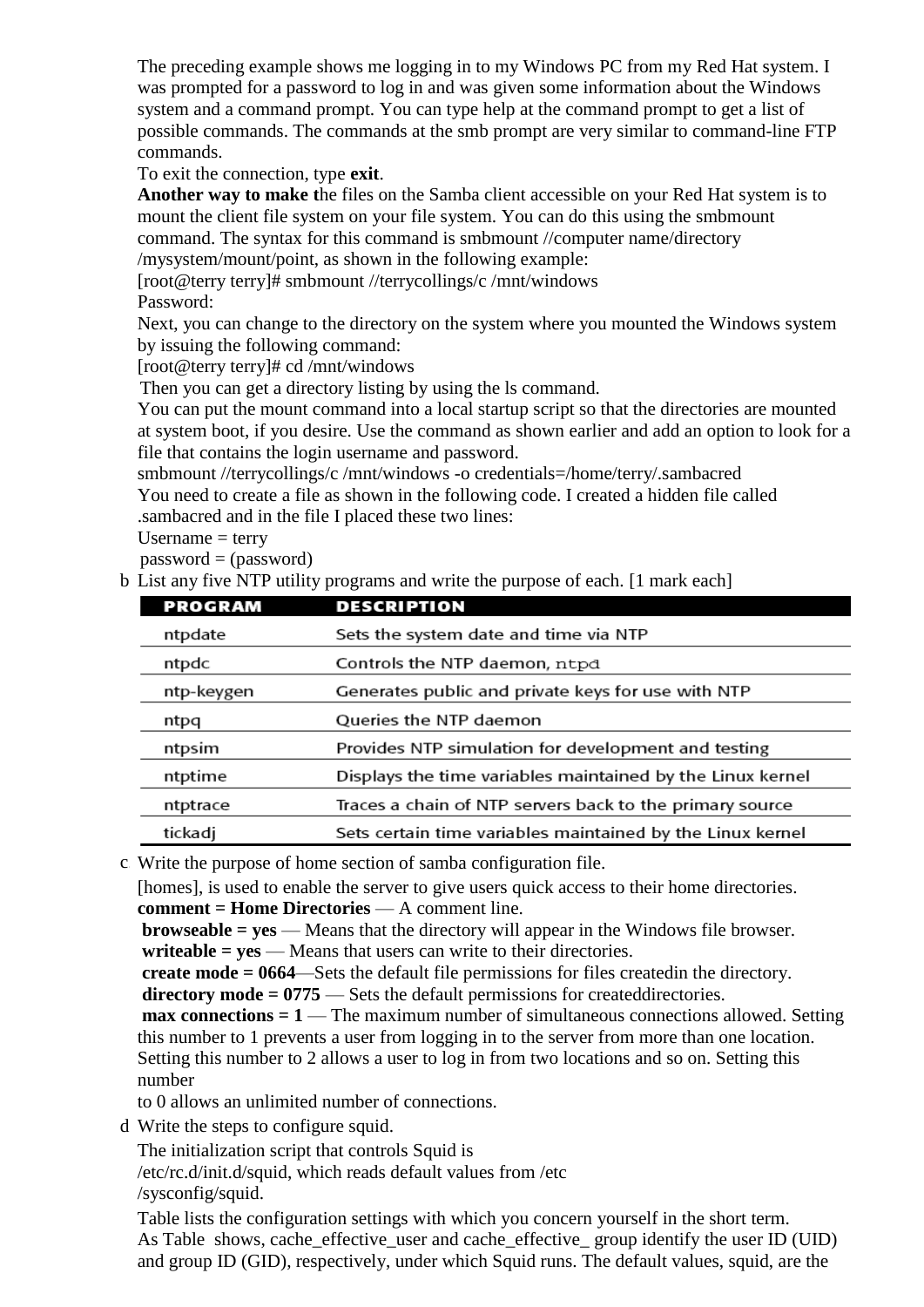The preceding example shows me logging in to my Windows PC from my Red Hat system. I was prompted for a password to log in and was given some information about the Windows system and a command prompt. You can type help at the command prompt to get a list of possible commands. The commands at the smb prompt are very similar to command-line FTP commands.

To exit the connection, type **exit**.

**Another way to make t**he files on the Samba client accessible on your Red Hat system is to mount the client file system on your file system. You can do this using the smbmount command. The syntax for this command is smbmount //computer name/directory /mysystem/mount/point, as shown in the following example:

[root@terry terry]# smbmount //terrycollings/c /mnt/windows Password:

Next, you can change to the directory on the system where you mounted the Windows system by issuing the following command:

[root@terry terry]# cd /mnt/windows

Then you can get a directory listing by using the ls command.

You can put the mount command into a local startup script so that the directories are mounted at system boot, if you desire. Use the command as shown earlier and add an option to look for a file that contains the login username and password.

smbmount //terrycollings/c /mnt/windows -o credentials=/home/terry/.sambacred You need to create a file as shown in the following code. I created a hidden file called .sambacred and in the file I placed these two lines:

 $U$ sername = terry

 $password = (password)$ 

b. List any five NTP utility programs and write the purpose of each. [1 mark each]

| <b>PROGRAM</b> | <b>DESCRIPTION</b>                                         |
|----------------|------------------------------------------------------------|
| ntpdate        | Sets the system date and time via NTP                      |
| ntpdc          | Controls the NTP daemon, ntpd                              |
| ntp-keygen     | Generates public and private keys for use with NTP         |
| ntpq           | Queries the NTP daemon                                     |
| ntpsim         | Provides NTP simulation for development and testing        |
| ntptime        | Displays the time variables maintained by the Linux kernel |
| ntptrace       | Traces a chain of NTP servers back to the primary source   |
| tickadj        | Sets certain time variables maintained by the Linux kernel |
|                |                                                            |

c. Write the purpose of home section of samba configuration file.

[homes], is used to enable the server to give users quick access to their home directories. **comment = Home Directories — A comment line.** 

**browseable = yes** — Means that the directory will appear in the Windows file browser. **writeable = yes — Means that users can write to their directories.** 

**create mode = 0664**—Sets the default file permissions for files createdin the directory.

**directory mode = 0775** — Sets the default permissions for createddirectories.

**max connections = 1** — The maximum number of simultaneous connections allowed. Setting this number to 1 prevents a user from logging in to the server from more than one location. Setting this number to 2 allows a user to log in from two locations and so on. Setting this number

to 0 allows an unlimited number of connections.

d. Write the steps to configure squid.

The initialization script that controls Squid is

/etc/rc.d/init.d/squid, which reads default values from /etc

/sysconfig/squid.

Table lists the configuration settings with which you concern yourself in the short term. As Table shows, cache effective user and cache effective group identify the user ID (UID) and group ID (GID), respectively, under which Squid runs. The default values, squid, are the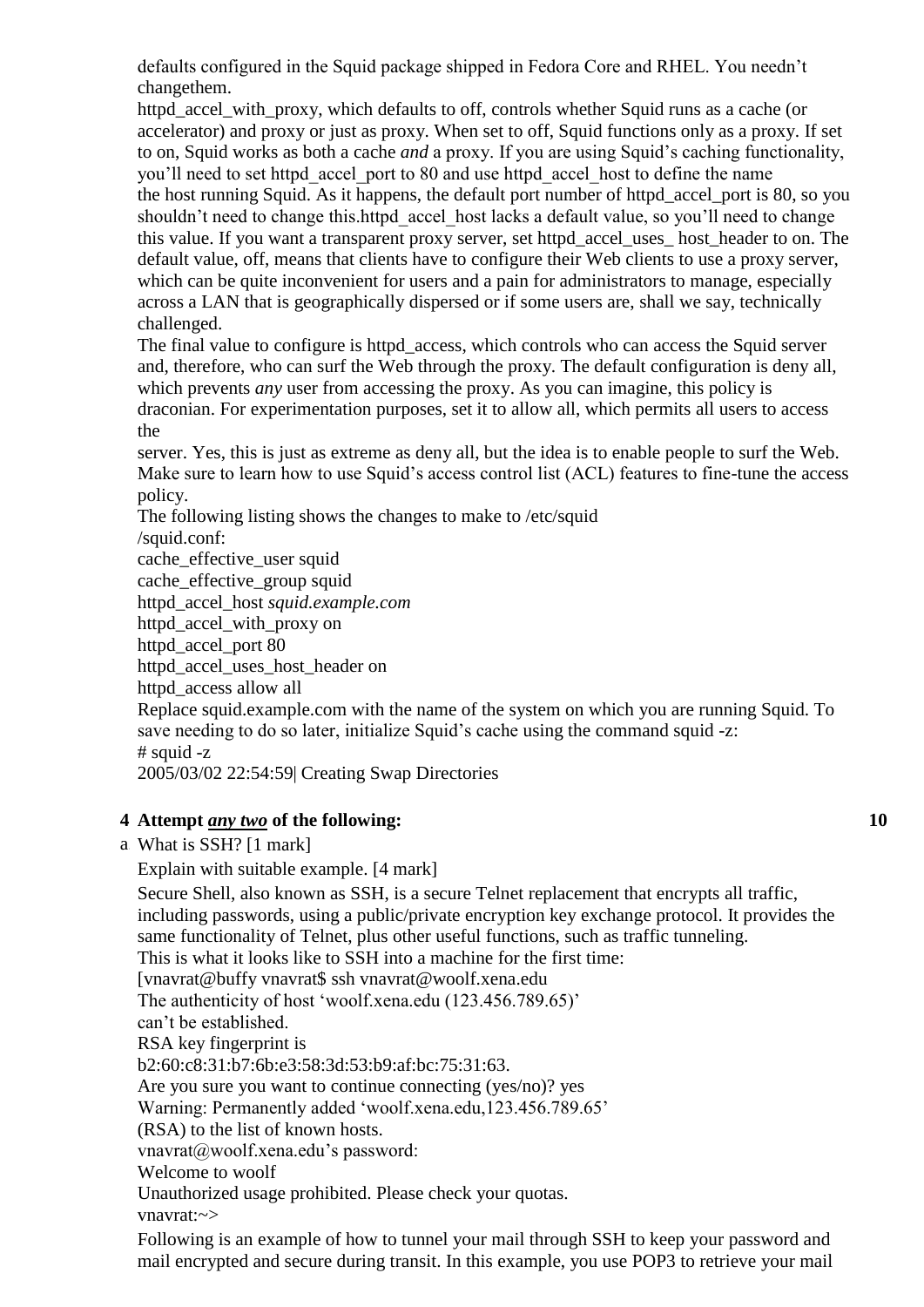defaults configured in the Squid package shipped in Fedora Core and RHEL. You needn't changethem.

httpd\_accel\_with\_proxy, which defaults to off, controls whether Squid runs as a cache (or accelerator) and proxy or just as proxy. When set to off, Squid functions only as a proxy. If set to on, Squid works as both a cache *and* a proxy. If you are using Squid's caching functionality, you'll need to set httpd\_accel\_port to 80 and use httpd\_accel\_host to define the name the host running Squid. As it happens, the default port number of httpd\_accel\_port is 80, so you shouldn't need to change this.httpd accel host lacks a default value, so you'll need to change this value. If you want a transparent proxy server, set httpd\_accel\_uses\_ host\_header to on. The default value, off, means that clients have to configure their Web clients to use a proxy server, which can be quite inconvenient for users and a pain for administrators to manage, especially across a LAN that is geographically dispersed or if some users are, shall we say, technically challenged.

The final value to configure is httpd\_access, which controls who can access the Squid server and, therefore, who can surf the Web through the proxy. The default configuration is deny all, which prevents *any* user from accessing the proxy. As you can imagine, this policy is draconian. For experimentation purposes, set it to allow all, which permits all users to access the

server. Yes, this is just as extreme as deny all, but the idea is to enable people to surf the Web. Make sure to learn how to use Squid's access control list (ACL) features to fine-tune the access policy.

The following listing shows the changes to make to /etc/squid /squid.conf:

cache\_effective\_user squid

cache effective group squid

httpd\_accel\_host *squid.example.com*

httpd\_accel\_with\_proxy on

httpd\_accel\_port 80

httpd\_accel\_uses\_host\_header on

httpd\_access allow all

Replace squid.example.com with the name of the system on which you are running Squid. To save needing to do so later, initialize Squid's cache using the command squid -z: # squid -z

2005/03/02 22:54:59| Creating Swap Directories

### **4. Attempt** *any two* **of the following: 10**

a. What is SSH? [1 mark]

Explain with suitable example. [4 mark]

Secure Shell, also known as SSH, is a secure Telnet replacement that encrypts all traffic, including passwords, using a public/private encryption key exchange protocol. It provides the same functionality of Telnet, plus other useful functions, such as traffic tunneling.

This is what it looks like to SSH into a machine for the first time:

[vnavrat@buffy vnavrat\$ ssh vnavrat@woolf.xena.edu

The authenticity of host 'woolf.xena.edu (123.456.789.65)'

can't be established.

RSA key fingerprint is

b2:60:c8:31:b7:6b:e3:58:3d:53:b9:af:bc:75:31:63.

Are you sure you want to continue connecting (yes/no)? yes

Warning: Permanently added 'woolf.xena.edu,123.456.789.65'

(RSA) to the list of known hosts.

vnavrat@woolf.xena.edu's password:

Welcome to woolf

Unauthorized usage prohibited. Please check your quotas.

vnavrat:~>

Following is an example of how to tunnel your mail through SSH to keep your password and mail encrypted and secure during transit. In this example, you use POP3 to retrieve your mail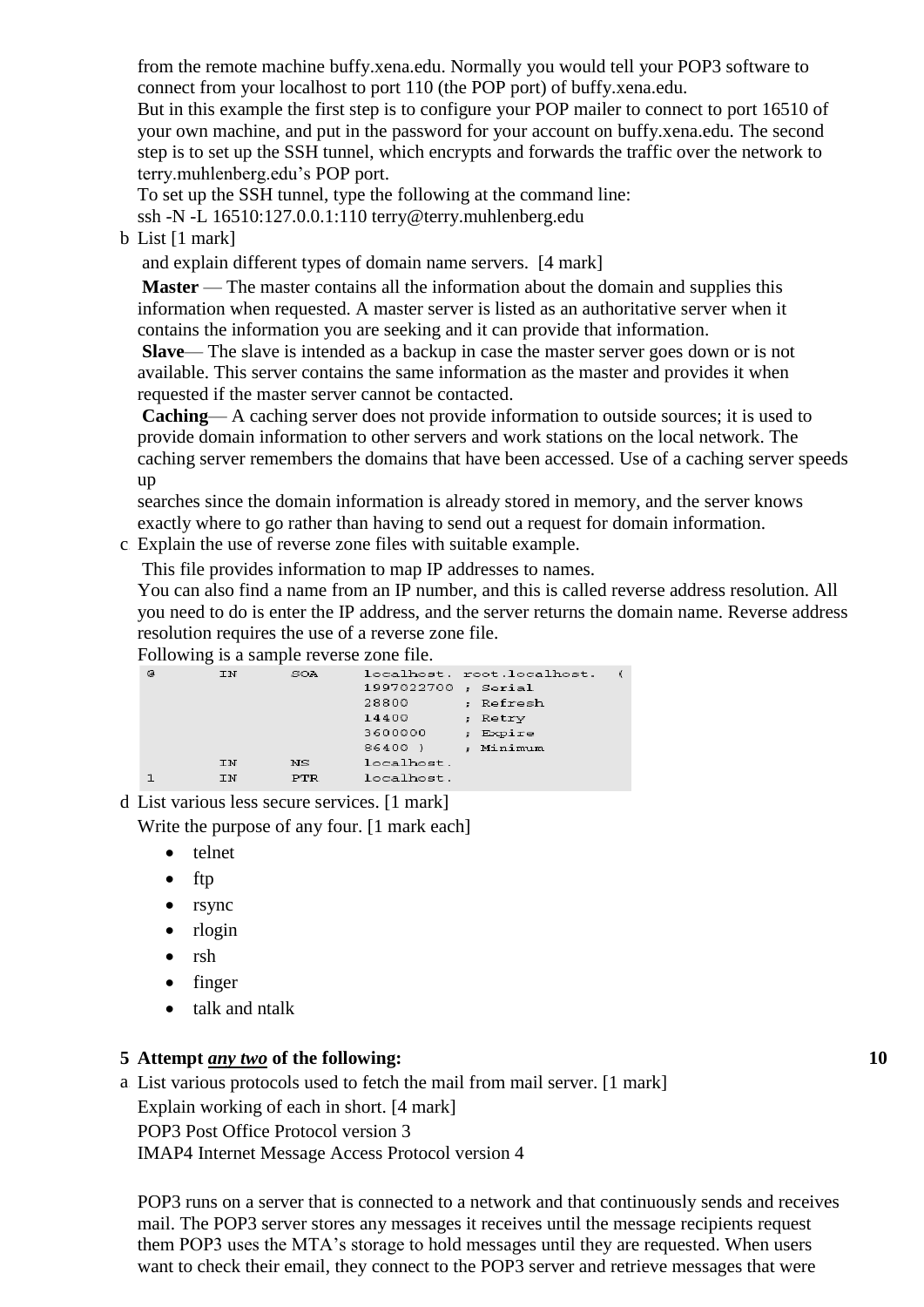from the remote machine buffy.xena.edu. Normally you would tell your POP3 software to connect from your localhost to port 110 (the POP port) of buffy.xena.edu.

But in this example the first step is to configure your POP mailer to connect to port 16510 of your own machine, and put in the password for your account on buffy.xena.edu. The second step is to set up the SSH tunnel, which encrypts and forwards the traffic over the network to terry.muhlenberg.edu's POP port.

To set up the SSH tunnel, type the following at the command line:

ssh -N -L 16510:127.0.0.1:110 terry@terry.muhlenberg.edu

b. List [1 mark]

and explain different types of domain name servers. [4 mark]

**Master** — The master contains all the information about the domain and supplies this information when requested. A master server is listed as an authoritative server when it contains the information you are seeking and it can provide that information.

**Slave**— The slave is intended as a backup in case the master server goes down or is not available. This server contains the same information as the master and provides it when requested if the master server cannot be contacted.

**Caching**— A caching server does not provide information to outside sources; it is used to provide domain information to other servers and work stations on the local network. The caching server remembers the domains that have been accessed. Use of a caching server speeds up

searches since the domain information is already stored in memory, and the server knows exactly where to go rather than having to send out a request for domain information.

c. Explain the use of reverse zone files with suitable example.

This file provides information to map IP addresses to names.

You can also find a name from an IP number, and this is called reverse address resolution. All you need to do is enter the IP address, and the server returns the domain name. Reverse address resolution requires the use of a reverse zone file.

Following is a sample reverse zone file.

| a | IN | SOA         |             | localhost. root.localhost. |
|---|----|-------------|-------------|----------------------------|
|   |    |             | 1997022700: | Serial                     |
|   |    |             | 28800       | ; Refresh                  |
|   |    |             | 14400       | ; Retry                    |
|   |    |             | 3600000     | Expire                     |
|   |    |             | 86400)      | : Minimum                  |
|   | IN | $_{\rm NS}$ | localhost.  |                            |
|   | IN | <b>PTR</b>  | localhost.  |                            |
|   |    |             |             |                            |

d. List various less secure services. [1 mark]

Write the purpose of any four. [1 mark each]

- telnet
- $\bullet$  ftp
- rsync
- rlogin
- rsh
- finger
- talk and ntalk

#### **5. Attempt** *any two* **of the following: 10**

a. List various protocols used to fetch the mail from mail server. [1 mark]

Explain working of each in short. [4 mark]

POP3 Post Office Protocol version 3

IMAP4 Internet Message Access Protocol version 4

POP3 runs on a server that is connected to a network and that continuously sends and receives mail. The POP3 server stores any messages it receives until the message recipients request them POP3 uses the MTA's storage to hold messages until they are requested. When users want to check their email, they connect to the POP3 server and retrieve messages that were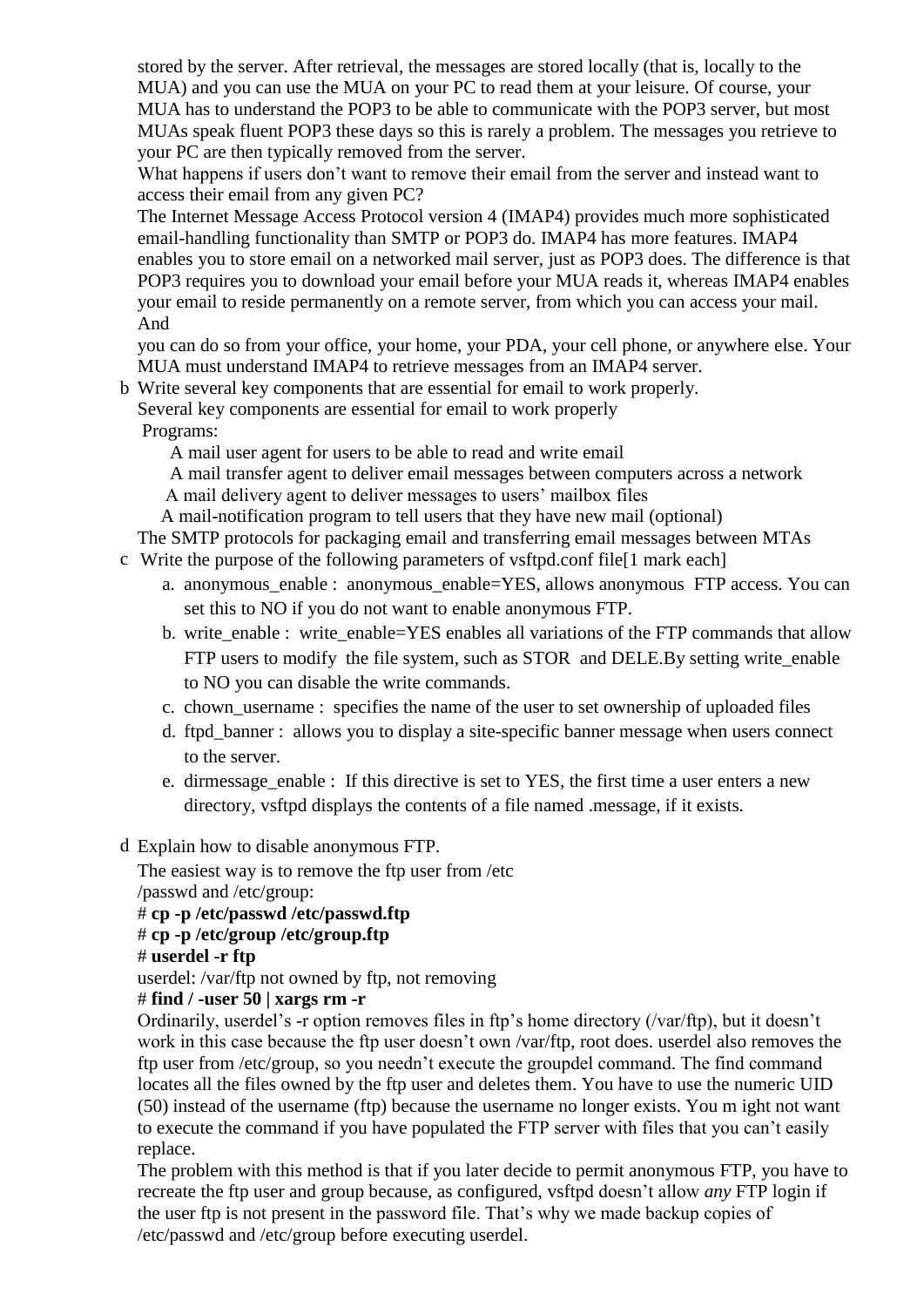stored by the server. After retrieval, the messages are stored locally (that is, locally to the MUA) and you can use the MUA on your PC to read them at your leisure. Of course, your MUA has to understand the POP3 to be able to communicate with the POP3 server, but most MUAs speak fluent POP3 these days so this is rarely a problem. The messages you retrieve to your PC are then typically removed from the server.

What happens if users don't want to remove their email from the server and instead want to access their email from any given PC?

The Internet Message Access Protocol version 4 (IMAP4) provides much more sophisticated email-handling functionality than SMTP or POP3 do. IMAP4 has more features. IMAP4 enables you to store email on a networked mail server, just as POP3 does. The difference is that POP3 requires you to download your email before your MUA reads it, whereas IMAP4 enables your email to reside permanently on a remote server, from which you can access your mail. And

you can do so from your office, your home, your PDA, your cell phone, or anywhere else. Your MUA must understand IMAP4 to retrieve messages from an IMAP4 server.

b. Write several key components that are essential for email to work properly. Several key components are essential for email to work properly

Programs:

A mail user agent for users to be able to read and write email

A mail transfer agent to deliver email messages between computers across a network

A mail delivery agent to deliver messages to users' mailbox files

A mail-notification program to tell users that they have new mail (optional)

The SMTP protocols for packaging email and transferring email messages between MTAs

- c. Write the purpose of the following parameters of vsftpd.conf file[1 mark each]
	- a. anonymous\_enable : anonymous\_enable=YES, allows anonymous FTP access. You can set this to NO if you do not want to enable anonymous FTP.
	- b. write enable : write enable=YES enables all variations of the FTP commands that allow FTP users to modify the file system, such as STOR and DELE.By setting write\_enable to NO you can disable the write commands.
	- c. chown\_username : specifies the name of the user to set ownership of uploaded files
	- d. ftpd\_banner : allows you to display a site-specific banner message when users connect to the server.
	- e. dirmessage\_enable : If this directive is set to YES, the first time a user enters a new directory, vsftpd displays the contents of a file named .message, if it exists.
- d. Explain how to disable anonymous FTP.

The easiest way is to remove the ftp user from /etc

/passwd and /etc/group:

# # **cp -p /etc/passwd /etc/passwd.ftp**

- # **cp -p /etc/group /etc/group.ftp**
- # **userdel -r ftp**

userdel: /var/ftp not owned by ftp, not removing

# # **find / -user 50 | xargs rm -r**

Ordinarily, userdel's -r option removes files in ftp's home directory (/var/ftp), but it doesn't work in this case because the ftp user doesn't own /var/ftp, root does. userdel also removes the ftp user from /etc/group, so you needn't execute the groupdel command. The find command locates all the files owned by the ftp user and deletes them. You have to use the numeric UID (50) instead of the username (ftp) because the username no longer exists. You m ight not want to execute the command if you have populated the FTP server with files that you can't easily replace.

The problem with this method is that if you later decide to permit anonymous FTP, you have to recreate the ftp user and group because, as configured, vsftpd doesn't allow *any* FTP login if the user ftp is not present in the password file. That's why we made backup copies of /etc/passwd and /etc/group before executing userdel.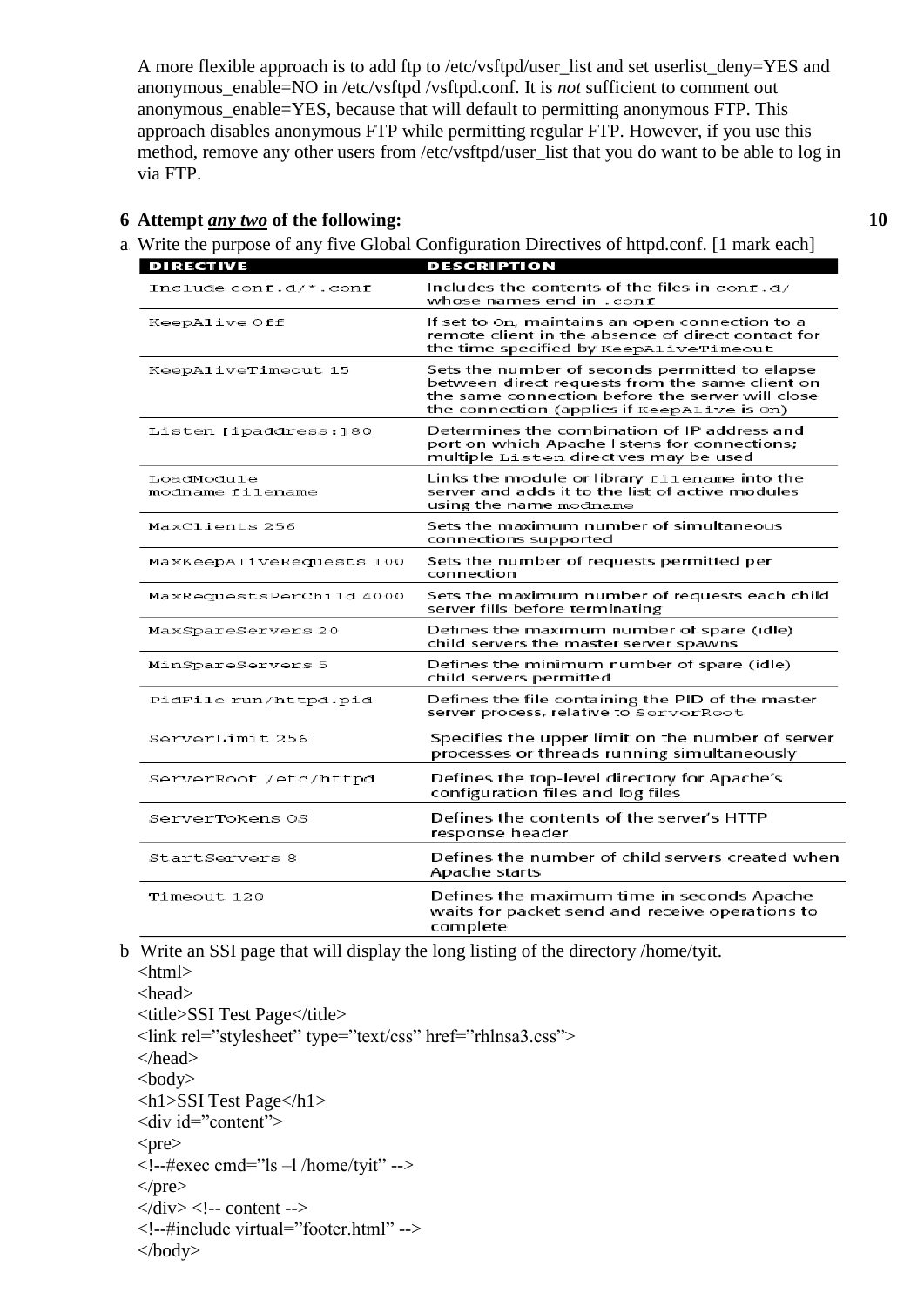A more flexible approach is to add ftp to /etc/vsftpd/user list and set userlist deny=YES and anonymous\_enable=NO in /etc/vsftpd /vsftpd.conf. It is *not* sufficient to comment out anonymous\_enable=YES, because that will default to permitting anonymous FTP. This approach disables anonymous FTP while permitting regular FTP. However, if you use this method, remove any other users from /etc/vsftpd/user\_list that you do want to be able to log in via FTP.

# **6. Attempt** *any two* **of the following: 10**

a. Write the purpose of any five Global Configuration Directives of httpd.conf. [1 mark each]

| DIRECTIVE                      | DESCRIPTION                                                                                                                                                                                          |
|--------------------------------|------------------------------------------------------------------------------------------------------------------------------------------------------------------------------------------------------|
| Include conf.d/*.conf          | Includes the contents of the files in conf.d/<br>whose names end in . conf                                                                                                                           |
| KeepAlive Off                  | If set to On, maintains an open connection to a<br>remote client in the absence of direct contact for<br>the time specified by KeepAliveTimeout                                                      |
| KeepAliveTimeout 15            | Sets the number of seconds permitted to elapse<br>between direct requests from the same client on<br>the same connection before the server will close<br>the connection (applies if KeepAlive is On) |
| Listen [ipaddress: ]80         | Determines the combination of IP address and<br>port on which Apache listens for connections,<br>multiple Listen directives may be used                                                              |
| LoadModule<br>modname filename | Links the module or library filename into the<br>server and adds it to the list of active modules<br>using the name modname                                                                          |
| MaxClients 256                 | Sets the maximum number of simultaneous<br>connections supported                                                                                                                                     |
| MaxKeepAliveRequests 100       | Sets the number of requests permitted per<br>connection                                                                                                                                              |
| MaxRequestsPerChild 4000       | Sets the maximum number of requests each child<br>server fills before terminating                                                                                                                    |
| MaxSpareServers 20             | Defines the maximum number of spare (idle)<br>child servers the master server spawns                                                                                                                 |
| MinSpareServers 5              | Defines the minimum number of spare (idle)<br>child servers permitted                                                                                                                                |
| PidFile run/httpd.pid          | Defines the file containing the PID of the master<br>server process, relative to ServerRoot                                                                                                          |
| ServerLimit 256                | Specifies the upper limit on the number of server<br>processes or threads running simultaneously                                                                                                     |
| ServerRoot /etc/httpd          | Defines the top-level directory for Apache's<br>configuration files and log files                                                                                                                    |
| ServerTokens OS                | Defines the contents of the server's HTTP<br>response header                                                                                                                                         |
| StartServers 8                 | Defines the number of child servers created when<br>Apache starts                                                                                                                                    |
| Timeout 120                    | Defines the maximum time in seconds Apache<br>waits for packet send and receive operations to<br>complete                                                                                            |

b. Write an SSI page that will display the long listing of the directory /home/tyit.  $\langle$ html $>$ 

<head> <title>SSI Test Page</title> <link rel="stylesheet" type="text/css" href="rhlnsa3.css"> </head>  $<$ body $>$ <h1>SSI Test Page</h1>  $\langle$ div id="content"> <pre>  $\langle$ !--#exec cmd="ls -l /home/tyit" -->  $<$ /pre $>$  $\langle \text{div}\rangle \langle -1$  content --> <!--#include virtual="footer.html" --> </body>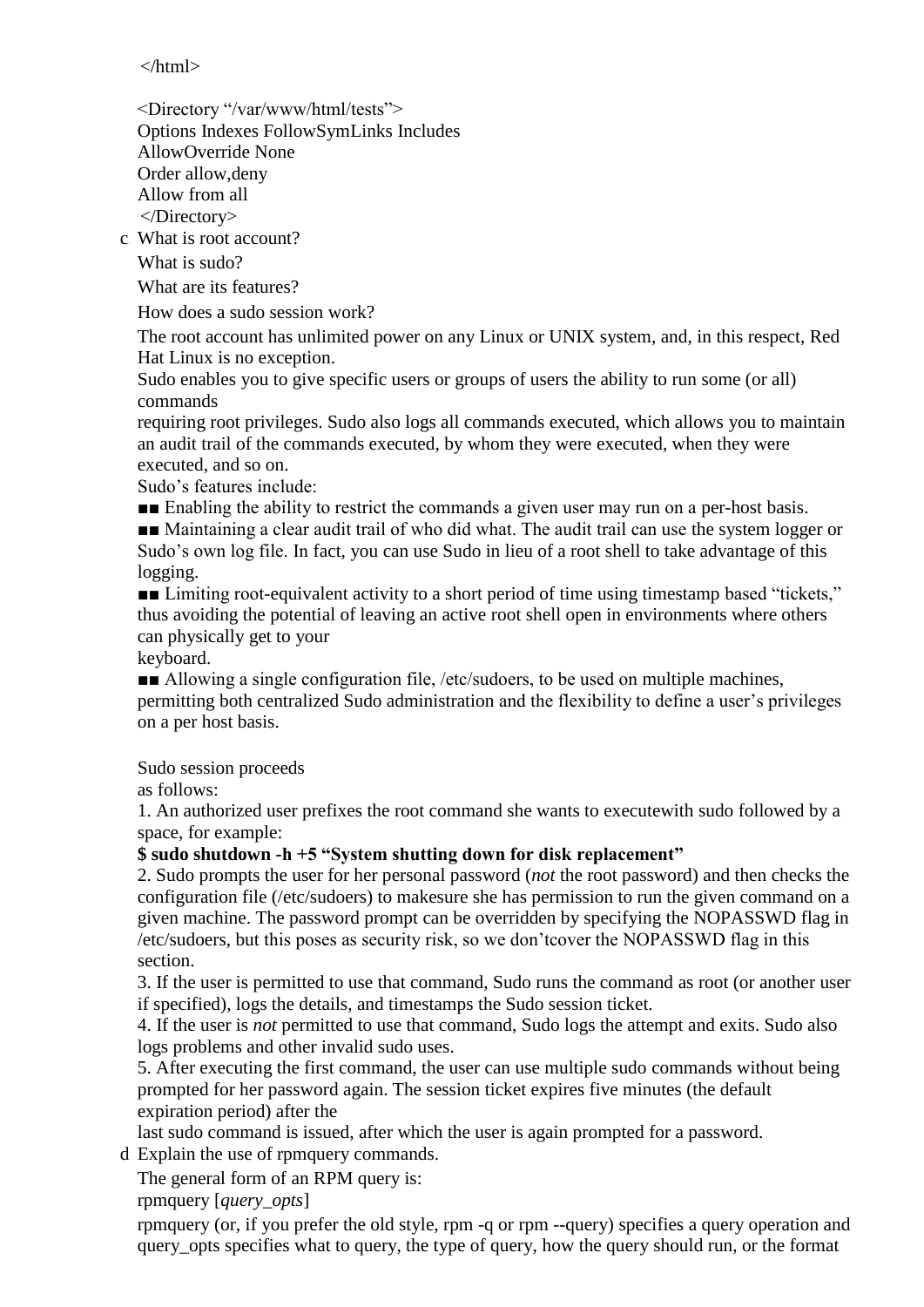### </html>

<Directory "/var/www/html/tests"> Options Indexes FollowSymLinks Includes AllowOverride None Order allow,deny Allow from all </Directory>

c. What is root account?

What is sudo?

What are its features?

How does a sudo session work?

The root account has unlimited power on any Linux or UNIX system, and, in this respect, Red Hat Linux is no exception.

Sudo enables you to give specific users or groups of users the ability to run some (or all) commands

requiring root privileges. Sudo also logs all commands executed, which allows you to maintain an audit trail of the commands executed, by whom they were executed, when they were executed, and so on.

Sudo's features include:

■■ Enabling the ability to restrict the commands a given user may run on a per-host basis.

■■ Maintaining a clear audit trail of who did what. The audit trail can use the system logger or Sudo's own log file. In fact, you can use Sudo in lieu of a root shell to take advantage of this logging.

■■ Limiting root-equivalent activity to a short period of time using timestamp based "tickets," thus avoiding the potential of leaving an active root shell open in environments where others can physically get to your

keyboard.

■■ Allowing a single configuration file, /etc/sudoers, to be used on multiple machines, permitting both centralized Sudo administration and the flexibility to define a user's privileges on a per host basis.

Sudo session proceeds

as follows:

1. An authorized user prefixes the root command she wants to executewith sudo followed by a space, for example:

# **\$ sudo shutdown -h +5 "System shutting down for disk replacement"**

2. Sudo prompts the user for her personal password (*not* the root password) and then checks the configuration file (/etc/sudoers) to makesure she has permission to run the given command on a given machine. The password prompt can be overridden by specifying the NOPASSWD flag in /etc/sudoers, but this poses as security risk, so we don'tcover the NOPASSWD flag in this section.

3. If the user is permitted to use that command, Sudo runs the command as root (or another user if specified), logs the details, and timestamps the Sudo session ticket.

4. If the user is *not* permitted to use that command, Sudo logs the attempt and exits. Sudo also logs problems and other invalid sudo uses.

5. After executing the first command, the user can use multiple sudo commands without being prompted for her password again. The session ticket expires five minutes (the default expiration period) after the

last sudo command is issued, after which the user is again prompted for a password.

d. Explain the use of rpmquery commands.

The general form of an RPM query is:

rpmquery [*query\_opts*]

rpmquery (or, if you prefer the old style, rpm -q or rpm --query) specifies a query operation and query\_opts specifies what to query, the type of query, how the query should run, or the format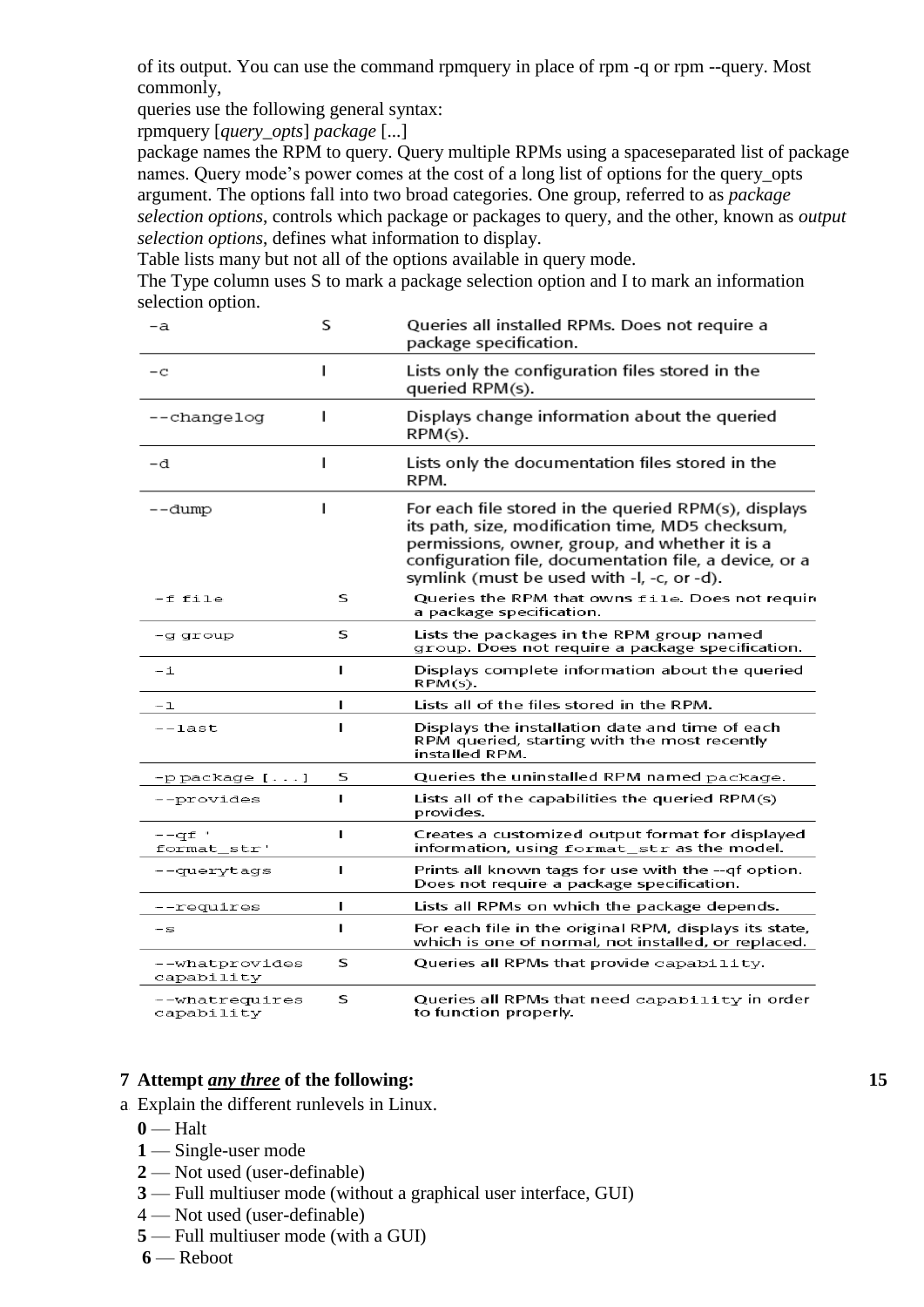of its output. You can use the command rpmquery in place of rpm -q or rpm --query. Most commonly,

queries use the following general syntax:

rpmquery [*query\_opts*] *package* [...]

package names the RPM to query. Query multiple RPMs using a spaceseparated list of package names. Query mode's power comes at the cost of a long list of options for the query\_opts argument. The options fall into two broad categories. One group, referred to as *package selection options*, controls which package or packages to query, and the other, known as *output selection options*, defines what information to display.

Table lists many but not all of the options available in query mode.

The Type column uses S to mark a package selection option and I to mark an information selection option.

| -a                           | S | Queries all installed RPMs. Does not require a<br>package specification.                                                                                                                                                                                           |
|------------------------------|---|--------------------------------------------------------------------------------------------------------------------------------------------------------------------------------------------------------------------------------------------------------------------|
| $-c$                         | ı | Lists only the configuration files stored in the<br>queried RPM(s).                                                                                                                                                                                                |
| --changelog                  | ı | Displays change information about the queried<br>$RPM(s)$ .                                                                                                                                                                                                        |
| -d                           | ı | Lists only the documentation files stored in the<br>RPM.                                                                                                                                                                                                           |
| --dump                       | ı | For each file stored in the queried RPM(s), displays<br>its path, size, modification time, MD5 checksum,<br>permissions, owner, group, and whether it is a<br>configuration file, documentation file, a device, or a<br>symlink (must be used with -I, -c, or -d). |
| -f file                      | S | Queries the RPM that owns file. Does not requin<br>a package specification.                                                                                                                                                                                        |
| -g group                     | S | Lists the packages in the RPM group named<br>group. Does not require a package specification.                                                                                                                                                                      |
| -i                           | п | Displays complete information about the queried<br>$RPM(s)$ .                                                                                                                                                                                                      |
| $-1$                         | г | Lists all of the files stored in the RPM.                                                                                                                                                                                                                          |
| $--last$                     | г | Displays the installation date and time of each<br>RPM queried, starting with the most recently<br>installed RPM.                                                                                                                                                  |
| -p package []                | s | Queries the uninstalled RPM named package.                                                                                                                                                                                                                         |
| --provides                   | г | Lists all of the capabilities the queried RPM(s)<br>provides.                                                                                                                                                                                                      |
| --qf '<br>format_str'        | L | Creates a customized output format for displayed<br>information, using format_str as the model.                                                                                                                                                                    |
| --querytags                  | п | Prints all known tags for use with the --qf option.<br>Does not require a package specification.                                                                                                                                                                   |
| --requires                   | L | Lists all RPMs on which the package depends.                                                                                                                                                                                                                       |
| $-$ s                        | т | For each file in the original RPM, displays its state,<br>which is one of normal, not installed, or replaced.                                                                                                                                                      |
| --whatprovides<br>capability | S | Queries all RPMs that provide capability.                                                                                                                                                                                                                          |
| --whatrequires<br>capability | S | Queries all RPMs that need capability in order<br>to function properly.                                                                                                                                                                                            |

# **7. Attempt** *any three* **of the following: 15**

- a. Explain the different runlevels in Linux.
	- $0$  Halt
	- **1**  Single-user mode
	- **2**  Not used (user-definable)
	- **3**  Full multiuser mode (without a graphical user interface, GUI)
	- 4 Not used (user-definable)
	- **5** Full multiuser mode (with a GUI)
	- **6**  Reboot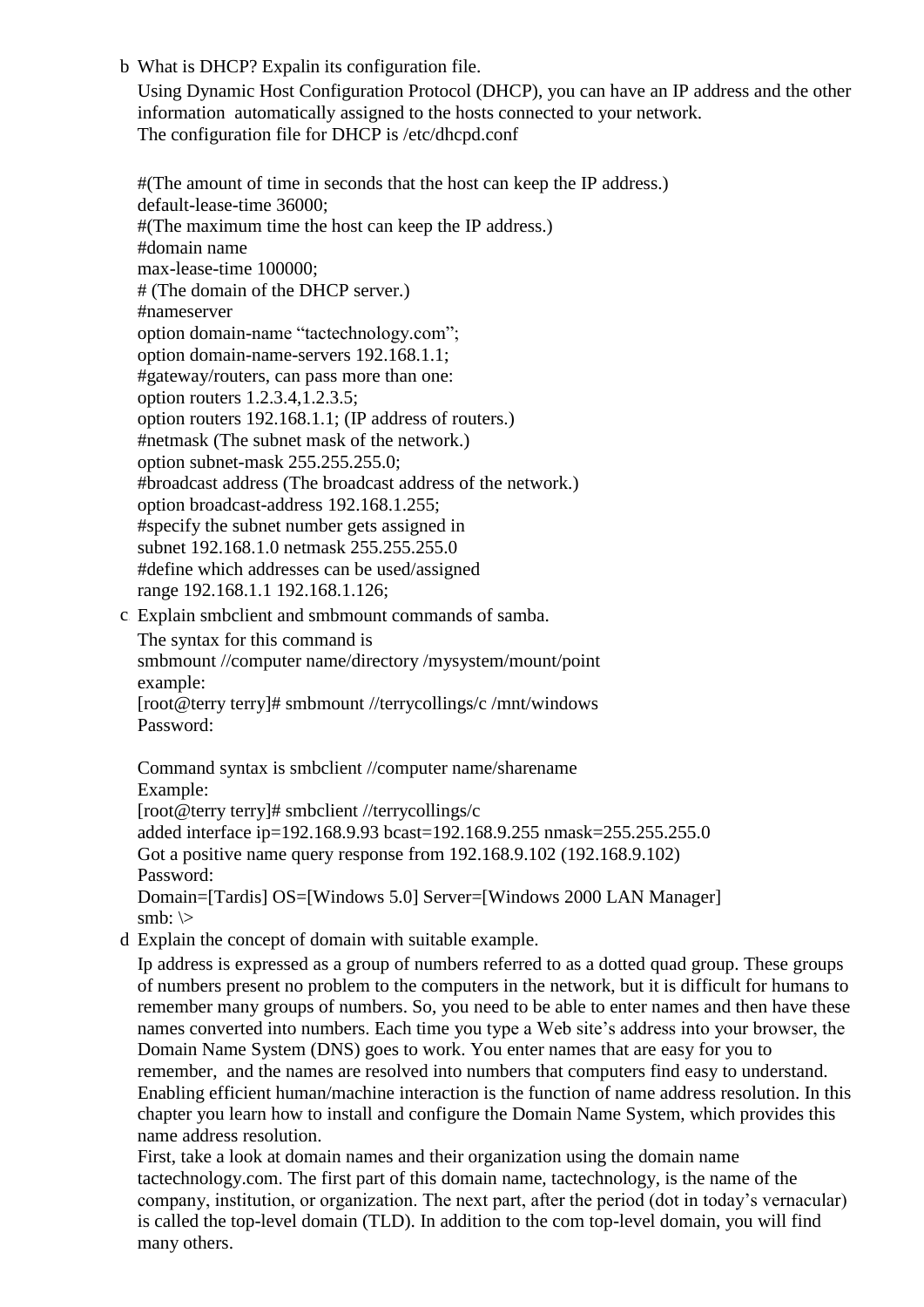b. What is DHCP? Expalin its configuration file.

Using Dynamic Host Configuration Protocol (DHCP), you can have an IP address and the other information automatically assigned to the hosts connected to your network. The configuration file for DHCP is /etc/dhcpd.conf

#(The amount of time in seconds that the host can keep the IP address.) default-lease-time 36000; #(The maximum time the host can keep the IP address.) #domain name max-lease-time 100000; # (The domain of the DHCP server.) #nameserver option domain-name "tactechnology.com"; option domain-name-servers 192.168.1.1; #gateway/routers, can pass more than one: option routers 1.2.3.4,1.2.3.5; option routers 192.168.1.1; (IP address of routers.) #netmask (The subnet mask of the network.) option subnet-mask 255.255.255.0; #broadcast address (The broadcast address of the network.) option broadcast-address 192.168.1.255; #specify the subnet number gets assigned in subnet 192.168.1.0 netmask 255.255.255.0 #define which addresses can be used/assigned range 192.168.1.1 192.168.1.126;

c. Explain smbclient and smbmount commands of samba.

The syntax for this command is smbmount //computer name/directory /mysystem/mount/point example: [root@terry terry]# smbmount //terrycollings/c /mnt/windows

Password:

Command syntax is smbclient //computer name/sharename Example:

[root@terry terry]# smbclient //terrycollings/c added interface ip=192.168.9.93 bcast=192.168.9.255 nmask=255.255.255.0 Got a positive name query response from 192.168.9.102 (192.168.9.102) Password: Domain=[Tardis] OS=[Windows 5.0] Server=[Windows 2000 LAN Manager]

smb:  $\&$ 

d. Explain the concept of domain with suitable example.

Ip address is expressed as a group of numbers referred to as a dotted quad group. These groups of numbers present no problem to the computers in the network, but it is difficult for humans to remember many groups of numbers. So, you need to be able to enter names and then have these names converted into numbers. Each time you type a Web site's address into your browser, the Domain Name System (DNS) goes to work. You enter names that are easy for you to remember, and the names are resolved into numbers that computers find easy to understand. Enabling efficient human/machine interaction is the function of name address resolution. In this chapter you learn how to install and configure the Domain Name System, which provides this name address resolution.

First, take a look at domain names and their organization using the domain name tactechnology.com. The first part of this domain name, tactechnology, is the name of the company, institution, or organization. The next part, after the period (dot in today's vernacular) is called the top-level domain (TLD). In addition to the com top-level domain, you will find many others.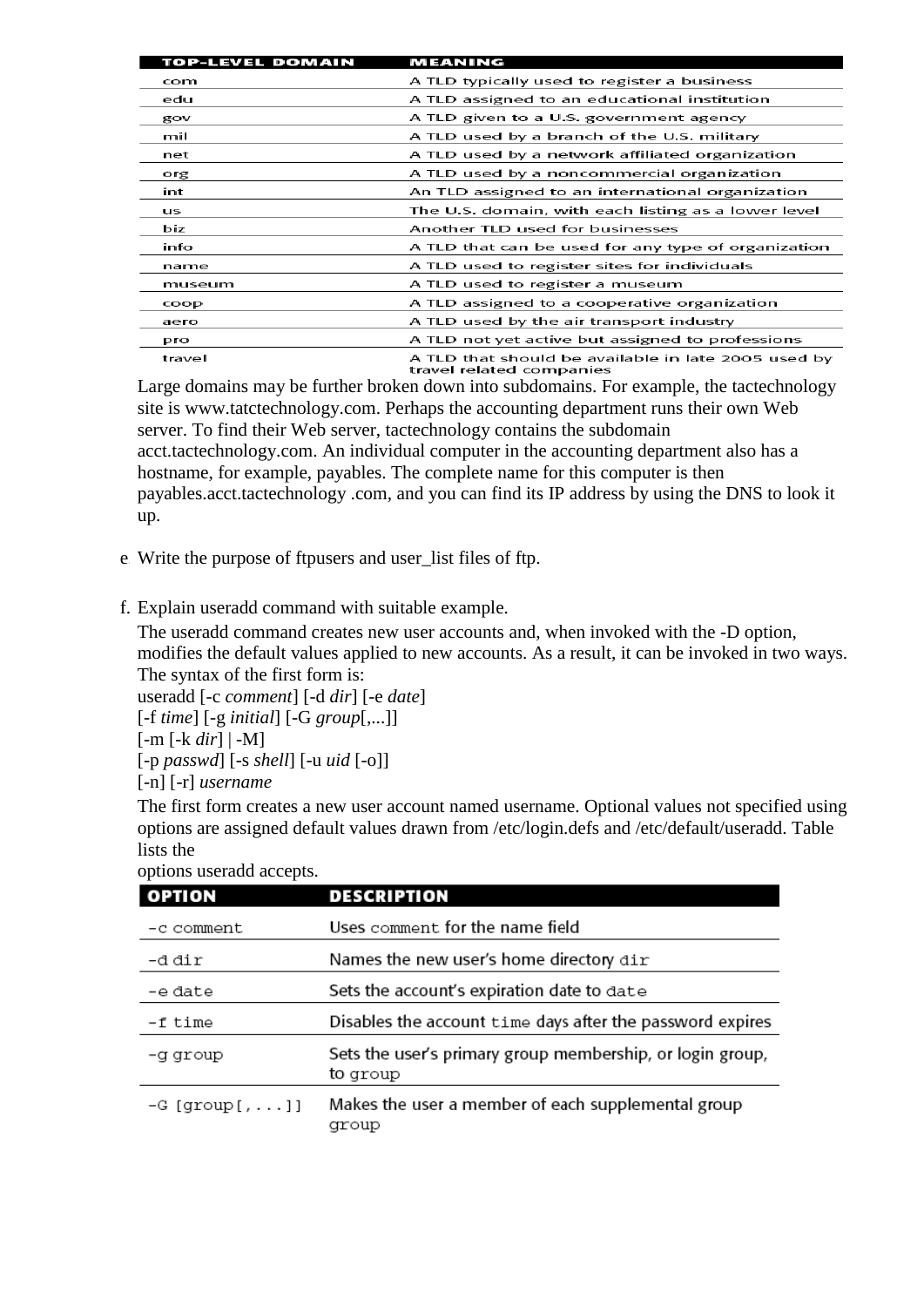| TOP-LEVEL DOMAIN | <b>MEANING</b>                                                                  |
|------------------|---------------------------------------------------------------------------------|
| com              | A TLD typically used to register a business                                     |
| edu              | A TLD assigned to an educational institution                                    |
| gov              | A TLD given to a U.S. government agency                                         |
| mil              | A TLD used by a branch of the U.S. military                                     |
| net              | A TLD used by a network affiliated organization                                 |
| org              | A TLD used by a noncommercial organization                                      |
| int              | An TLD assigned to an international organization                                |
| us               | The U.S. domain, with each listing as a lower level                             |
| biz              | Another TLD used for businesses                                                 |
| info             | A TLD that can be used for any type of organization                             |
| name             | A TLD used to register sites for individuals                                    |
| museum           | A TLD used to register a museum                                                 |
| coop             | A TLD assigned to a cooperative organization                                    |
| aero             | A TLD used by the air transport industry                                        |
| pro              | A TLD not yet active but assigned to professions                                |
| travel           | A TLD that should be available in late 2005 used by<br>travel related companies |

Large domains may be further broken down into subdomains. For example, the tactechnology site is www.tatctechnology.com. Perhaps the accounting department runs their own Web server. To find their Web server, tactechnology contains the subdomain acct.tactechnology.com. An individual computer in the accounting department also has a hostname, for example, payables. The complete name for this computer is then payables.acct.tactechnology .com, and you can find its IP address by using the DNS to look it up.

- e. Write the purpose of ftpusers and user\_list files of ftp.
- f. Explain useradd command with suitable example.

The useradd command creates new user accounts and, when invoked with the -D option, modifies the default values applied to new accounts. As a result, it can be invoked in two ways. The syntax of the first form is:

```
useradd [-c comment] [-d dir] [-e date]
[-f time] [-g initial] [-G group[,...]]
[-m [-k dir] | -M]
[-p passwd] [-s shell] [-u uid [-o]]
[-n] [-r] username
```
The first form creates a new user account named username. Optional values not specified using options are assigned default values drawn from /etc/login.defs and /etc/default/useradd. Table lists the

| $\mu$ . The discrete accepts. |                                                                       |
|-------------------------------|-----------------------------------------------------------------------|
| <b>OPTION</b>                 | <b>DESCRIPTION</b>                                                    |
| -c comment                    | Uses comment for the name field                                       |
| -d dir                        | Names the new user's home directory dir                               |
| -e date                       | Sets the account's expiration date to date                            |
| -f time                       | Disables the account time days after the password expires             |
| -g group                      | Sets the user's primary group membership, or login group,<br>to group |
| $-G$ [group[, ]]              | Makes the user a member of each supplemental group<br>group           |

options useradd accepts.